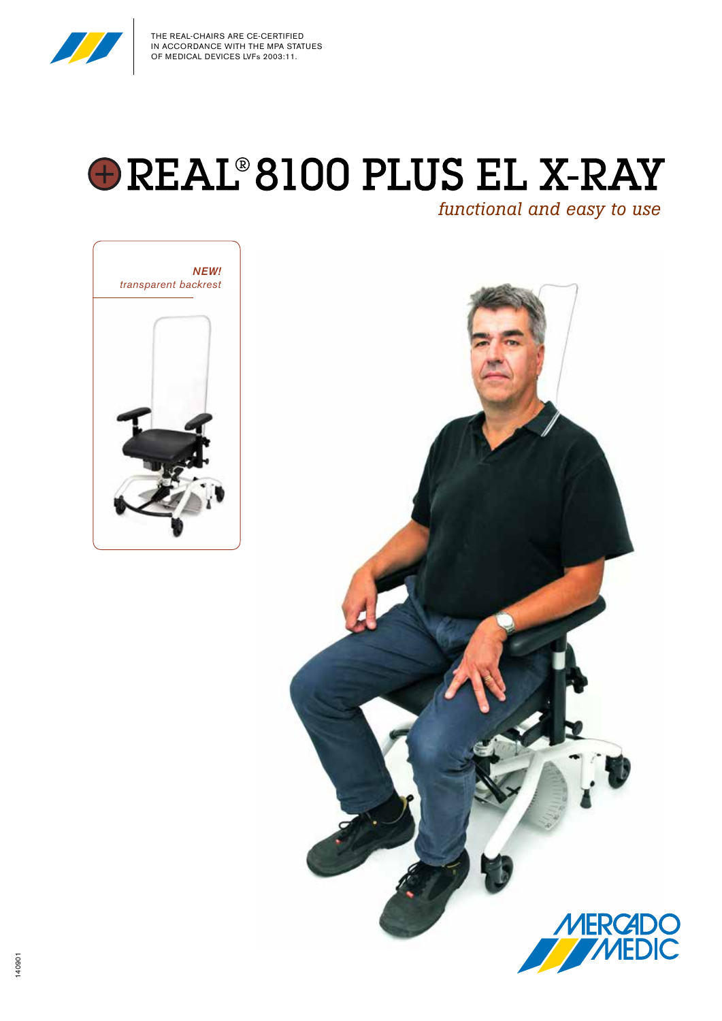

# **OREAL 8100 PLUS EL X-RAY**

*functional and easy to use*



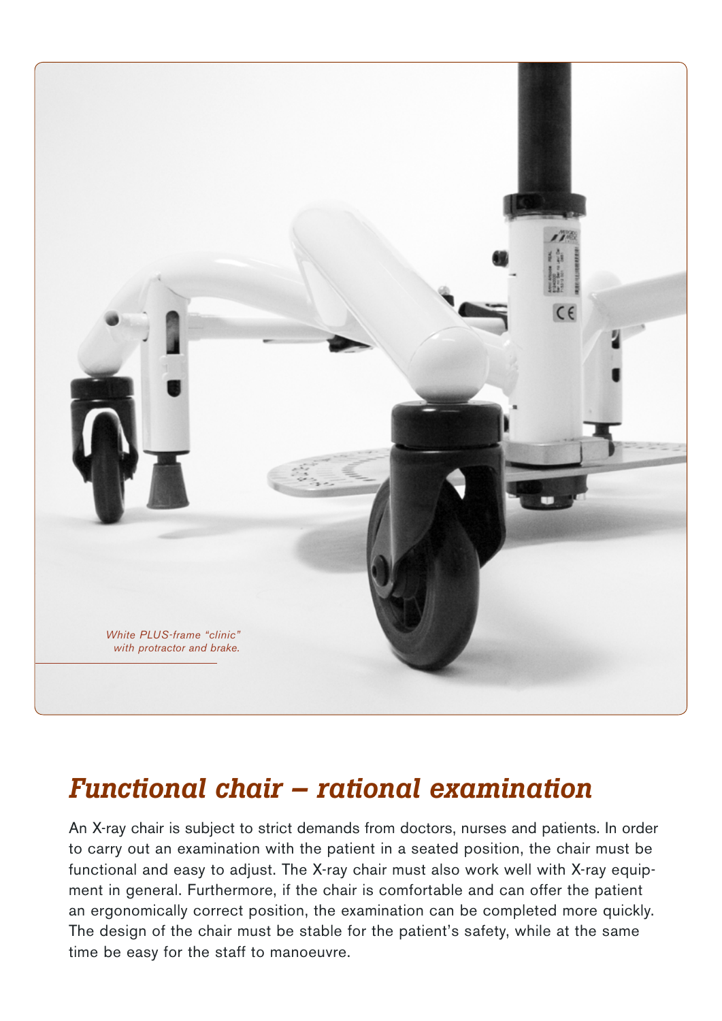

# *Functional chair – rational examination*

An X-ray chair is subject to strict demands from doctors, nurses and patients. In order to carry out an examination with the patient in a seated position, the chair must be functional and easy to adjust. The X-ray chair must also work well with X-ray equipment in general. Furthermore, if the chair is comfortable and can offer the patient an ergonomically correct position, the examination can be completed more quickly. The design of the chair must be stable for the patient's safety, while at the same time be easy for the staff to manoeuvre.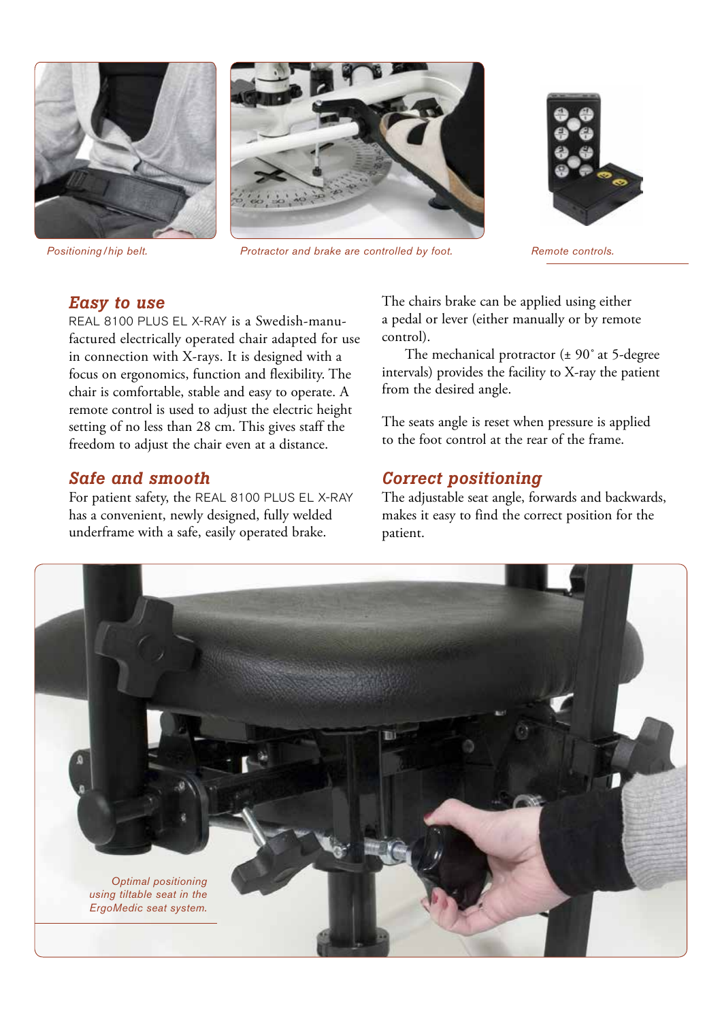





*Positioning/hip belt. Protractor and brake are controlled by foot. Remote controls.*



#### *Easy to use*

REAL 8100 PLUS EL X-RAY is a Swedish-manufactured electrically operated chair adapted for use in connection with X-rays. It is designed with a focus on ergonomics, function and flexibility. The chair is comfortable, stable and easy to operate. A remote control is used to adjust the electric height setting of no less than 28 cm. This gives staff the freedom to adjust the chair even at a distance.

#### *Safe and smooth*

For patient safety, the REAL 8100 PLUS EL X-RAY has a convenient, newly designed, fully welded underframe with a safe, easily operated brake.

The chairs brake can be applied using either a pedal or lever (either manually or by remote control).

The mechanical protractor ( $\pm$  90° at 5-degree intervals) provides the facility to X-ray the patient from the desired angle.

The seats angle is reset when pressure is applied to the foot control at the rear of the frame.

#### *Correct positioning*

The adjustable seat angle, forwards and backwards, makes it easy to find the correct position for the patient.

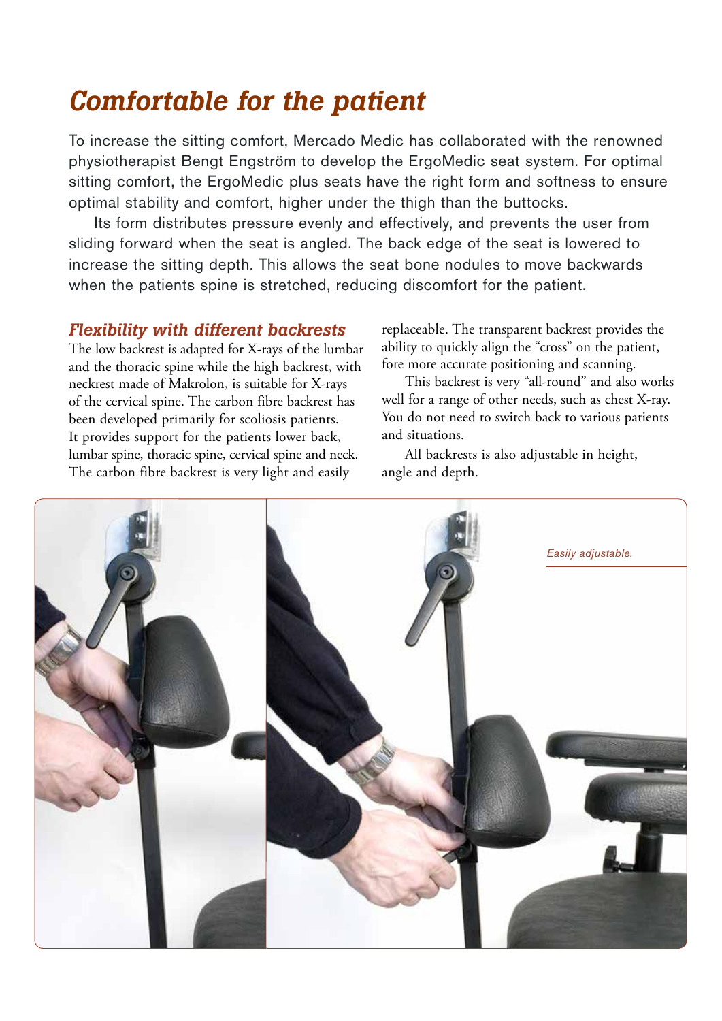# *Comfortable for the patient*

To increase the sitting comfort, Mercado Medic has collaborated with the renowned physiotherapist Bengt Engström to develop the ErgoMedic seat system. For optimal sitting comfort, the ErgoMedic plus seats have the right form and softness to ensure optimal stability and comfort, higher under the thigh than the buttocks.

Its form distributes pressure evenly and effectively, and prevents the user from sliding forward when the seat is angled. The back edge of the seat is lowered to increase the sitting depth. This allows the seat bone nodules to move backwards when the patients spine is stretched, reducing discomfort for the patient.

#### *Flexibility with different backrests*

The low backrest is adapted for X-rays of the lumbar and the thoracic spine while the high backrest, with neckrest made of Makrolon, is suitable for X-rays of the cervical spine. The carbon fibre backrest has been developed primarily for scoliosis patients. It provides support for the patients lower back, lumbar spine, thoracic spine, cervical spine and neck. The carbon fibre backrest is very light and easily

replaceable. The transparent backrest provides the ability to quickly align the "cross" on the patient, fore more accurate positioning and scanning.

This backrest is very "all-round" and also works well for a range of other needs, such as chest X-ray. You do not need to switch back to various patients and situations.

All backrests is also adjustable in height, angle and depth.

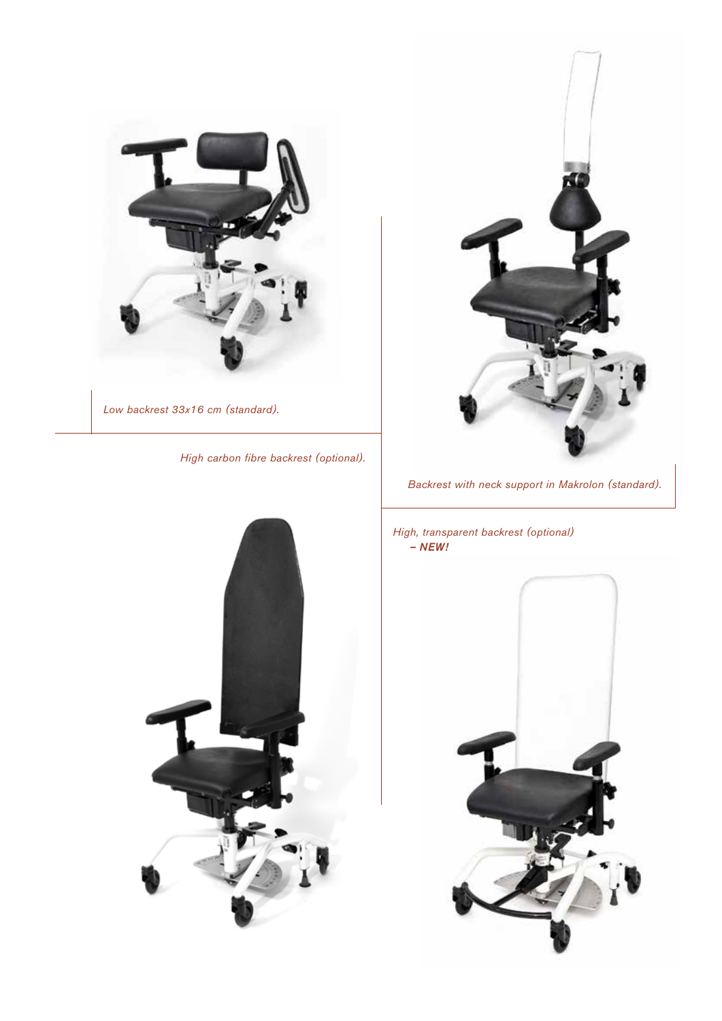

*Low backrest 33x16 cm (standard).*

*High carbon fibre backrest (optional).*





*Backrest with neck support in Makrolon (standard).*

*High, transparent backrest (optional) – NEW!*

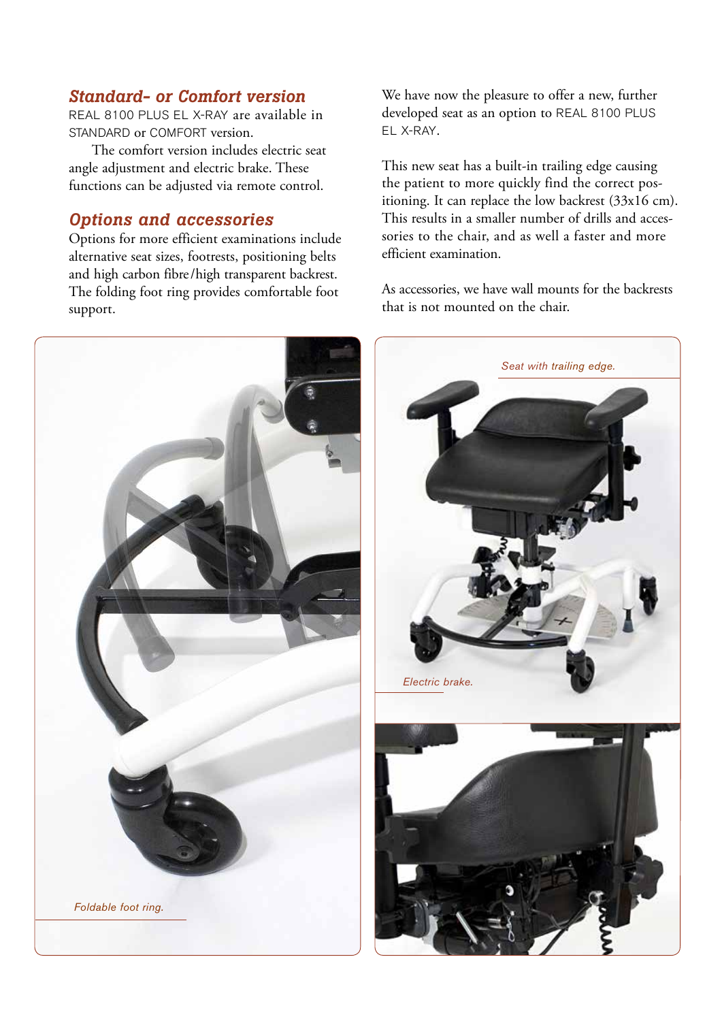## *Standard- or Comfort version*

REAL 8100 PLUS EL X-RAY are available in STANDARD or COMFORT version.

The comfort version includes electric seat angle adjustment and electric brake. These functions can be adjusted via remote control.

#### *Options and accessories*

Options for more efficient examinations include alternative seat sizes, footrests, positioning belts and high carbon fibre/high transparent backrest. The folding foot ring provides comfortable foot support.



We have now the pleasure to offer a new, further developed seat as an option to REAL 8100 PLUS EL X-RAY.

This new seat has a built-in trailing edge causing the patient to more quickly find the correct positioning. It can replace the low backrest (33x16 cm). This results in a smaller number of drills and accessories to the chair, and as well a faster and more efficient examination.

As accessories, we have wall mounts for the backrests that is not mounted on the chair.

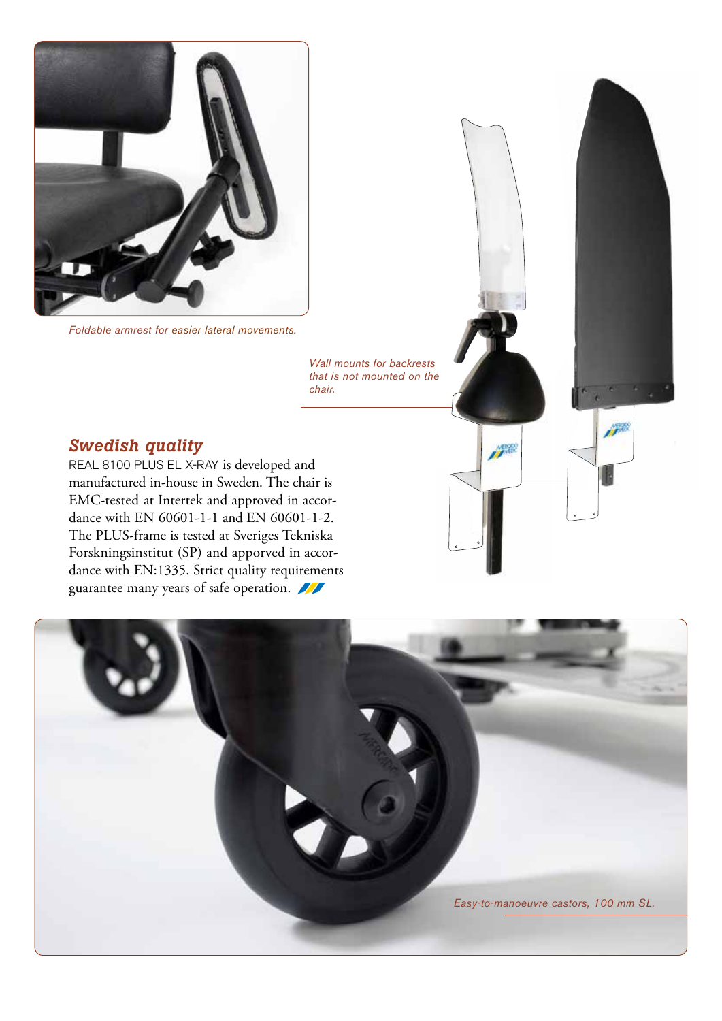

*Foldable armrest for easier lateral movements.*

*Wall mounts for backrests that is not mounted on the chair.*

**Jean** 

### *Swedish quality*

REAL 8100 PLUS EL X-RAY is developed and manufactured in-house in Sweden. The chair is EMC-tested at Intertek and approved in accordance with EN 60601-1-1 and EN 60601-1-2. The PLUS-frame is tested at Sveriges Tekniska Forskningsinstitut (SP) and apporved in accordance with EN:1335. Strict quality requirements guarantee many years of safe operation.